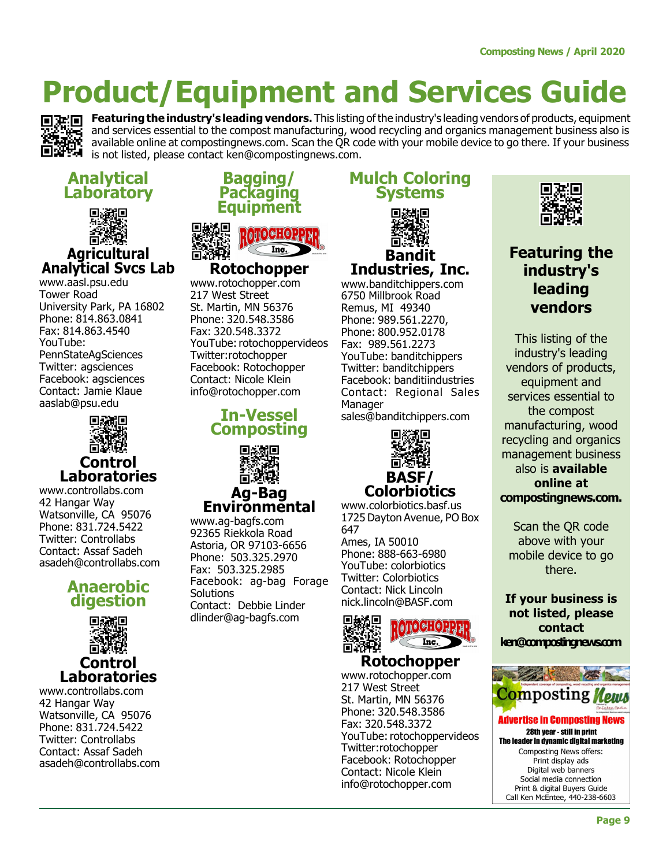

Featuring the industry's leading vendors. This listing of the industry's leading vendors of products, equipment and services essential to the compost manufacturing, wood recycling and organics management business also is available online at compostingnews.com. Scan the QR code with your mobile device to go there. If your business is not listed, please contact ken@compostingnews.com.

Mulch Coloring Systems

回送船回

Bandit Industries, Inc. www.banditchippers.com 6750 Millbrook Road Remus, MI 49340 Phone: 989.561.2270, Phone: 800.952.0178 Fax: 989.561.2273 YouTube: banditchippers Twitter: banditchippers Facebook: banditiindustries Contact: Regional Sales

#### Analytical **Laboratory**



#### **Agricultural** Analytical Svcs Lab

www.aasl.psu.edu Tower Road University Park, PA 16802 Phone: 814.863.0841 Fax: 814.863.4540 YouTube: PennStateAgSciences Twitter: agsciences Facebook: agsciences Contact: Jamie Klaue aaslab@psu.edu



www.controllabs.com 42 Hangar Way Watsonville, CA 95076 Phone: 831.724.5422 Twitter: Controllabs Contact: Assaf Sadeh asadeh@controllabs.com

#### Anaerobic digestion



www.controllabs.com 42 Hangar Way Watsonville, CA 95076 Phone: 831.724.5422 Twitter: Controllabs Contact: Assaf Sadeh asadeh@controllabs.com

#### Bagging/ **Packaging** Equipment



Rotochopper www.rotochopper.com 217 West Street St. Martin, MN 56376 Phone: 320.548.3586 Fax: 320.548.3372 YouTube: rotochoppervideos Twitter:rotochopper Facebook: Rotochopper Contact: Nicole Klein info@rotochopper.com

#### In-Vessel Composting



Ag-Bag Environmental

www.ag-bagfs.com 92365 Riekkola Road Astoria, OR 97103-6656 Phone: 503.325.2970 Fax: 503.325.2985 Facebook: ag-bag Forage Solutions Contact: Debbie Linder dlinder@ag-bagfs.com



sales@banditchippers.com

回游船回

Manager

www.colorbiotics.basf.us 1725 Dayton Avenue, PO Box 647 Ames, IA 50010 Phone: 888-663-6980 YouTube: colorbiotics Twitter: Colorbiotics

Contact: Nick Lincoln nick.lincoln@BASF.com



#### Rotochopper

www.rotochopper.com 217 West Street St. Martin, MN 56376 Phone: 320.548.3586 Fax: 320.548.3372 YouTube: rotochoppervideos Twitter:rotochopper Facebook: Rotochopper Contact: Nicole Klein info@rotochopper.com



#### Featuring the industry's leading vendors

This listing of the industry's leading vendors of products, equipment and services essential to the compost manufacturing, wood recycling and organics management business also is available online at compostingnews.com.

Scan the QR code above with your mobile device to go there.

If your business is not listed, please contact ken@compostingnews.com

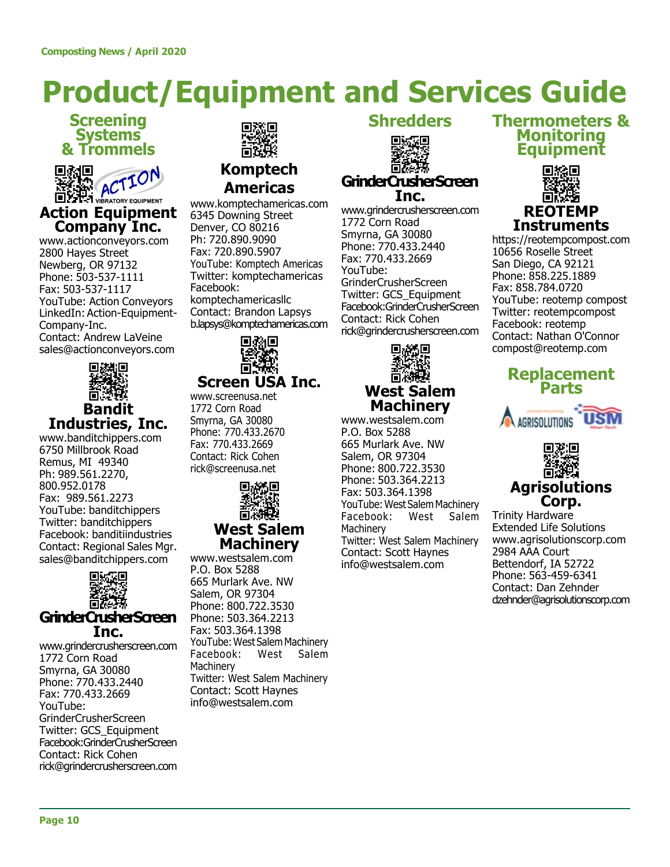### Screening Systems & Trommels



www.actionconveyors.com 2800 Hayes Street Newberg, OR 97132 Phone: 503-537-1111 Fax: 503-537-1117 YouTube: Action Conveyors LinkedIn: Action-Equipment-Company-Inc. Contact: Andrew LaVeine sales@actionconveyors.com



### Industries, Inc.

www.banditchippers.com 6750 Millbrook Road Remus, MI 49340 Ph: 989.561.2270, 800.952.0178 Fax: 989.561.2273 YouTube: banditchippers Twitter: banditchippers Facebook: banditiindustries Contact: Regional Sales Mgr. sales@banditchippers.com



#### GrinderCrusherScreen Inc.

www.grindercrusherscreen.com 1772 Corn Road Smyrna, GA 30080 Phone: 770.433.2440 Fax: 770.433.2669 YouTube: GrinderCrusherScreen Twitter: GCS\_Equipment Facebook:GrinderCrusherScreen Contact: Rick Cohen rick@grindercrusherscreen.com



#### Komptech Americas

www.komptechamericas.com 6345 Downing Street Denver, CO 80216 Ph: 720.890.9090 Fax: 720.890.5907 YouTube: Komptech Americas Twitter: komptechamericas Facebook: komptechamericasllc Contact: Brandon Lapsys b.lapsys@komptechamericas.com



### Screen USA Inc.

www.screenusa.net 1772 Corn Road Smyrna, GA 30080 Phone: 770.433.2670 Fax: 770.433.2669 Contact: Rick Cohen rick@screenusa.net



#### Machinery

www.westsalem.com P.O. Box 5288 665 Murlark Ave. NW Salem, OR 97304 Phone: 800.722.3530 Phone: 503.364.2213 Fax: 503.364.1398 YouTube: West Salem Machinery Facebook: West Salem **Machinery** Twitter: West Salem Machinery Contact: Scott Haynes info@westsalem.com

#### **Shredders**



www.grindercrusherscreen.com 1772 Corn Road Smyrna, GA 30080 Phone: 770.433.2440 Fax: 770.433.2669 YouTube: GrinderCrusherScreen Twitter: GCS\_Equipment Facebook:GrinderCrusherScreen Contact: Rick Cohen rick@grindercrusherscreen.com



## Machinery

www.westsalem.com P.O. Box 5288 665 Murlark Ave. NW Salem, OR 97304 Phone: 800.722.3530 Phone: 503.364.2213 Fax: 503.364.1398 YouTube: West Salem Machinery Facebook: West Salem **Machinery** Twitter: West Salem Machinery Contact: Scott Haynes info@westsalem.com

#### Thermometers & Monitoring Equipment



https://reotempcompost.com 10656 Roselle Street San Diego, CA 92121 Phone: 858.225.1889 Fax: 858.784.0720 YouTube: reotemp compost Twitter: reotempcompost Facebook: reotemp Contact: Nathan O'Connor compost@reotemp.com







Trinity Hardware Extended Life Solutions www.agrisolutionscorp.com 2984 AAA Court Bettendorf, IA 52722 Phone: 563-459-6341 Contact: Dan Zehnder dzehnder@agrisolutionscorp.com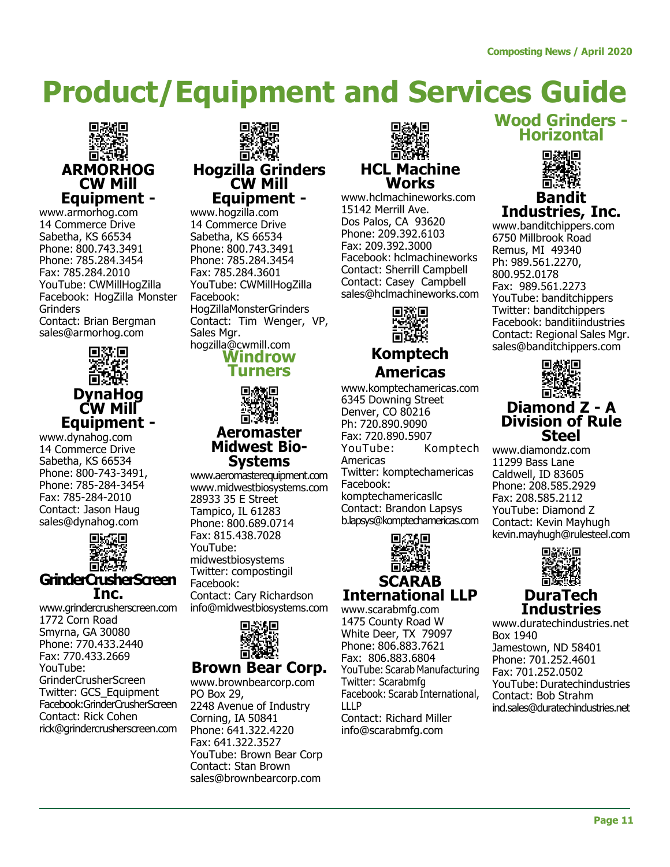

www.armorhog.com 14 Commerce Drive Sabetha, KS 66534 Phone: 800.743.3491 Phone: 785.284.3454 Fax: 785.284.2010 YouTube: CWMillHogZilla Facebook: HogZilla Monster Grinders Contact: Brian Bergman sales@armorhog.com



DynaHog CW Mill Equipment -

www.dynahog.com 14 Commerce Drive Sabetha, KS 66534 Phone: 800-743-3491, Phone: 785-284-3454 Fax: 785-284-2010 Contact: Jason Haug sales@dynahog.com



Inc.

www.grindercrusherscreen.com 1772 Corn Road Smyrna, GA 30080 Phone: 770.433.2440 Fax: 770.433.2669 YouTube: GrinderCrusherScreen Twitter: GCS\_Equipment Facebook:GrinderCrusherScreen Contact: Rick Cohen rick@grindercrusherscreen.com



www.hogzilla.com 14 Commerce Drive Sabetha, KS 66534 Phone: 800.743.3491 Phone: 785.284.3454 Fax: 785.284.3601 YouTube: CWMillHogZilla Facebook: HogZillaMonsterGrinders Contact: Tim Wenger, VP, Sales Mar. hogzilla@cwmill.com





#### Aeromaster Midwest Bio-Systems

www.aeromasterequipment.com www.midwestbiosystems.com 28933 35 E Street Tampico, IL 61283 Phone: 800.689.0714 Fax: 815.438.7028 YouTube: midwestbiosystems Twitter: compostingil Facebook: Contact: Cary Richardson info@midwestbiosystems.com



#### Brown Bear Corp.

www.brownbearcorp.com PO Box 29, 2248 Avenue of Industry Corning, IA 50841 Phone: 641.322.4220 Fax: 641.322.3527 YouTube: Brown Bear Corp Contact: Stan Brown sales@brownbearcorp.com



www.hclmachineworks.com 15142 Merrill Ave. Dos Palos, CA 93620 Phone: 209.392.6103 Fax: 209.392.3000 Facebook: hclmachineworks Contact: Sherrill Campbell Contact: Casey Campbell sales@hclmachineworks.com



#### Komptech Americas

www.komptechamericas.com 6345 Downing Street Denver, CO 80216 Ph: 720.890.9090 Fax: 720.890.5907 YouTube: Komptech Americas Twitter: komptechamericas Facebook: komptechamericasllc Contact: Brandon Lapsys b.lapsys@komptechamericas.com



www.scarabmfg.com 1475 County Road W White Deer, TX 79097 Phone: 806.883.7621 Fax: 806.883.6804 YouTube: Scarab Manufacturing Twitter: Scarabmfg Facebook: Scarab International, LLLP Contact: Richard Miller info@scarabmfg.com

#### Wood Grinders - Horizontal



#### Bandit Industries, Inc.

www.banditchippers.com 6750 Millbrook Road Remus, MI 49340 Ph: 989.561.2270, 800.952.0178 Fax: 989.561.2273 YouTube: banditchippers Twitter: banditchippers Facebook: banditiindustries Contact: Regional Sales Mgr. sales@banditchippers.com



#### Diamond Z - A Division of Rule **Steel**

www.diamondz.com 11299 Bass Lane Caldwell, ID 83605 Phone: 208.585.2929 Fax: 208.585.2112 YouTube: Diamond Z Contact: Kevin Mayhugh kevin.mayhugh@rulesteel.com



#### DuraTech **Industries**

www.duratechindustries.net Box 1940 Jamestown, ND 58401 Phone: 701.252.4601 Fax: 701.252.0502 YouTube: Duratechindustries Contact: Bob Strahm ind.sales@duratechindustries.net